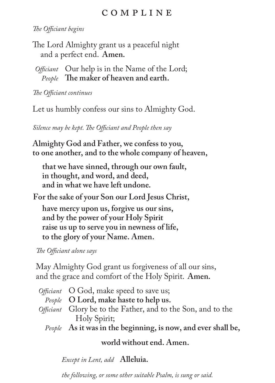## c o m p l i n e

*The Officiant begins*

The Lord Almighty grant us a peaceful night and a perfect end. **Amen.**

*Officiant* Our help is in the Name of the Lord; *People* **The maker of heaven and earth.**

*The Officiant continues*

Let us humbly confess our sins to Almighty God.

*Silence may be kept. The Officiant and People then say*

**Almighty God and Father, we confess to you, to one another, and to the whole company of heaven,**

**that we have sinned, through our own fault, in thought, and word, and deed, and in what we have left undone.**

**For the sake of your Son our Lord Jesus Christ,**

**have mercy upon us, forgive us our sins, and by the power of your Holy Spirit raise us up to serve you in newness of life, to the glory of your Name. Amen.**

*The Officiant alone says*

May Almighty God grant us forgiveness of all our sins, and the grace and comfort of the Holy Spirit. **Amen.**

| Officiant O God, make speed to save us;                      |
|--------------------------------------------------------------|
| People O Lord, make haste to help us.                        |
| Officiant Glory be to the Father, and to the Son, and to the |
| Holy Spirit;                                                 |
| . As tennis to the best of the top common deal and the       |

*People* **As it was in the beginning, is now, and ever shall be,**

## **world without end. Amen.**

*Except in Lent, add* **Alleluia.**

*the following, or some other suitable Psalm, is sung or said.*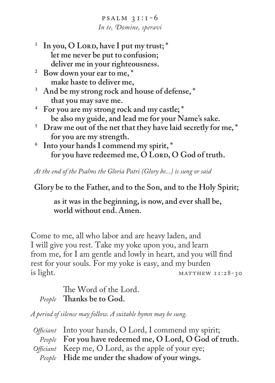$PSALM$  31:1-6 *In te, Domine, speravi*

- <sup>1</sup> In you, O Lord, have I put my trust;  $^*$ **let me never be put to confusion; deliver me in your righteousness.**
- **2 Bow down your ear to me, \* make haste to deliver me,**
- **3 And be my strong rock and house of defense, \* that you may save me.**
- **4 For you are my strong rock and my castle; \* be also my guide, and lead me for your Name's sake.**
- <sup>5</sup> Draw me out of the net that they have laid secretly for me,  $^*$ **for you are my strength.**
- **6 Into your hands I commend my spirit, \*** for you have redeemed me, O Lord, O God of truth.

*At the end of the Psalms the Gloria Patri (Glory be...) is sung or said*

**Glory be to the Father, and to the Son, and to the Holy Spirit;** 

**as it was in the beginning, is now, and ever shall be, world without end. Amen.**

Come to me, all who labor and are heavy laden, and I will give you rest. Take my yoke upon you, and learn from me, for I am gentle and lowly in heart, and you will find rest for your souls. For my yoke is easy, and my burden  $MATTHEW II:28-30$ 

 The Word of the Lord. *People* **Thanks be to God.**

*A period of silence may follow. A suitable hymn may be sung.*

| Officiant Into your hands, O Lord, I commend my spirit;  |
|----------------------------------------------------------|
| People For you have redeemed me, O Lord, O God of truth. |
| Officiant Keep me, O Lord, as the apple of your eye;     |
| People Hide me under the shadow of your wings.           |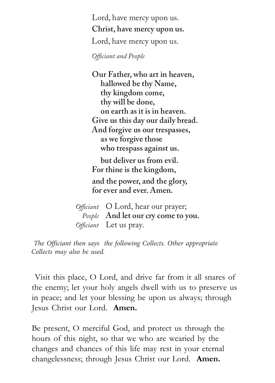Lord, have mercy upon us. **Christ, have mercy upon us.** Lord, have mercy upon us.

*Officiant and People*

**Our Father, who art in heaven, hallowed be thy Name, thy kingdom come, thy will be done, on earth as it is in heaven. Give us this day our daily bread. And forgive us our trespasses, as we forgive those who trespass against us.** 

 **but deliver us from evil. For thine is the kingdom, and the power, and the glory, for ever and ever. Amen.** 

 *Officiant* O Lord, hear our prayer; *People* **And let our cry come to you.**   *Officiant* Let us pray.

*The Officiant then says the following Collects. Other appropriate Collects may also be used.*

Visit this place, O Lord, and drive far from it all snares of the enemy; let your holy angels dwell with us to preserve us in peace; and let your blessing be upon us always; through Jesus Christ our Lord. **Amen.** 

Be present, O merciful God, and protect us through the hours of this night, so that we who are wearied by the changes and chances of this life may rest in your eternal changelessness; through Jesus Christ our Lord. **Amen.**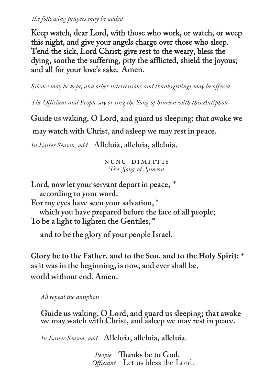*the following prayers may be added*

Keep watch, dear Lord, with those who work, or watch, or weep this night, and give your angels charge over those who sleep. Tend the sick, Lord Christ; give rest to the weary, bless the dying, soothe the suffering, pity the afflicted, shield the joyous; and all for your love's sake. **Amen.**

*Silence may be kept, and other intercessions and thanksgivings may be offered.*

*The Officiant and People say or sing the Song of Simeon with this Antiphon*

**Guide us waking, O Lord, and guard us sleeping; that awake we may watch with Christ, and asleep we may rest in peace.**

*In Easter Season, add* **Alleluia, alleluia, alleluia.**

nunc dimittis *The Song of Simeon*

**Lord, now let your servant depart in peace, \* according to your word.**

**For my eyes have seen your salvation, \* which you have prepared before the face of all people; To be a light to lighten the Gentiles, \***

**and to be the glory of your people Israel.**

**Glory be to the Father, and to the Son, and to the Holy Spirit; \* as it was in the beginning, is now, and ever shall be, world without end. Amen.**

*All repeat the antiphon*

**Guide us waking, O Lord, and guard us sleeping; that awake we may watch with Christ, and asleep we may rest in peace.**

*In Easter Season, add* **Alleluia, alleluia, alleluia.**

*Officiant* Let us bless the Lord. *People* **Thanks be to God.**